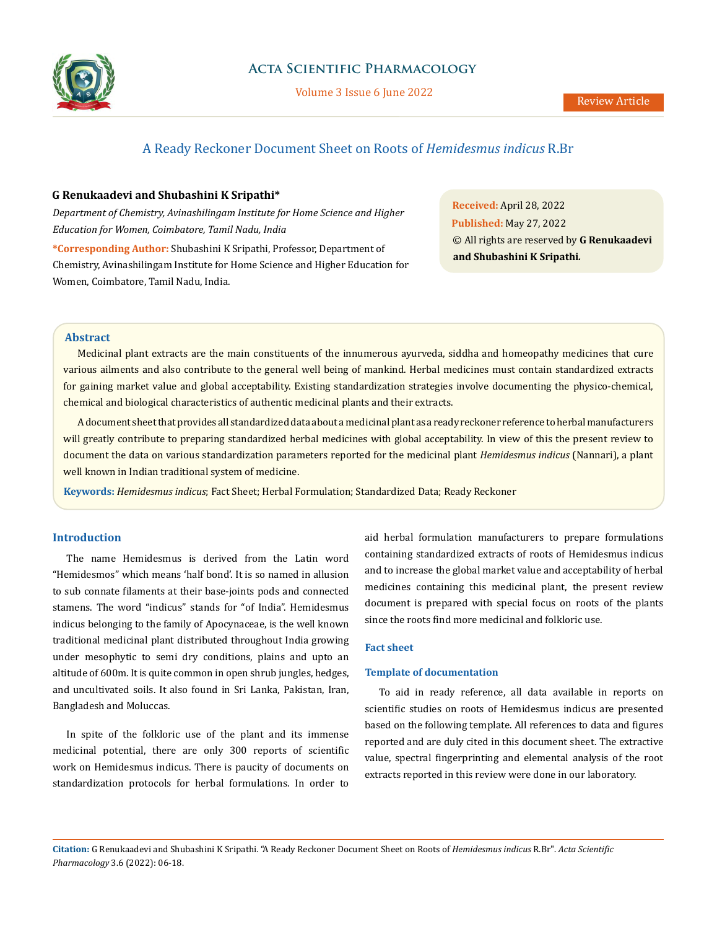

## **Acta Scientific Pharmacology**

Volume 3 Issue 6 June 2022

# A Ready Reckoner Document Sheet on Roots of *Hemidesmus indicus* R.Br

## **G Renukaadevi and Shubashini K Sripathi\***

*Department of Chemistry, Avinashilingam Institute for Home Science and Higher Education for Women, Coimbatore, Tamil Nadu, India*

**\*Corresponding Author:** Shubashini K Sripathi, Professor, Department of Chemistry, Avinashilingam Institute for Home Science and Higher Education for Women, Coimbatore, Tamil Nadu, India.

**Received:** April 28, 2022 **Published:** May 27, 2022 © All rights are reserved by **G Renukaadevi and Shubashini K Sripathi***.*

#### **Abstract**

Medicinal plant extracts are the main constituents of the innumerous ayurveda, siddha and homeopathy medicines that cure various ailments and also contribute to the general well being of mankind. Herbal medicines must contain standardized extracts for gaining market value and global acceptability. Existing standardization strategies involve documenting the physico-chemical, chemical and biological characteristics of authentic medicinal plants and their extracts.

A document sheet that provides all standardized data about a medicinal plant as a ready reckoner reference to herbal manufacturers will greatly contribute to preparing standardized herbal medicines with global acceptability. In view of this the present review to document the data on various standardization parameters reported for the medicinal plant *Hemidesmus indicus* (Nannari), a plant well known in Indian traditional system of medicine.

**Keywords:** *Hemidesmus indicus*; Fact Sheet; Herbal Formulation; Standardized Data; Ready Reckoner

### **Introduction**

The name Hemidesmus is derived from the Latin word "Hemidesmos" which means 'half bond'. It is so named in allusion to sub connate filaments at their base-joints pods and connected stamens. The word "indicus" stands for "of India". Hemidesmus indicus belonging to the family of Apocynaceae, is the well known traditional medicinal plant distributed throughout India growing under mesophytic to semi dry conditions, plains and upto an altitude of 600m. It is quite common in open shrub jungles, hedges, and uncultivated soils. It also found in Sri Lanka, Pakistan, Iran, Bangladesh and Moluccas.

In spite of the folkloric use of the plant and its immense medicinal potential, there are only 300 reports of scientific work on Hemidesmus indicus. There is paucity of documents on standardization protocols for herbal formulations. In order to aid herbal formulation manufacturers to prepare formulations containing standardized extracts of roots of Hemidesmus indicus and to increase the global market value and acceptability of herbal medicines containing this medicinal plant, the present review document is prepared with special focus on roots of the plants since the roots find more medicinal and folkloric use.

## **Fact sheet**

### **Template of documentation**

To aid in ready reference, all data available in reports on scientific studies on roots of Hemidesmus indicus are presented based on the following template. All references to data and figures reported and are duly cited in this document sheet. The extractive value, spectral fingerprinting and elemental analysis of the root extracts reported in this review were done in our laboratory.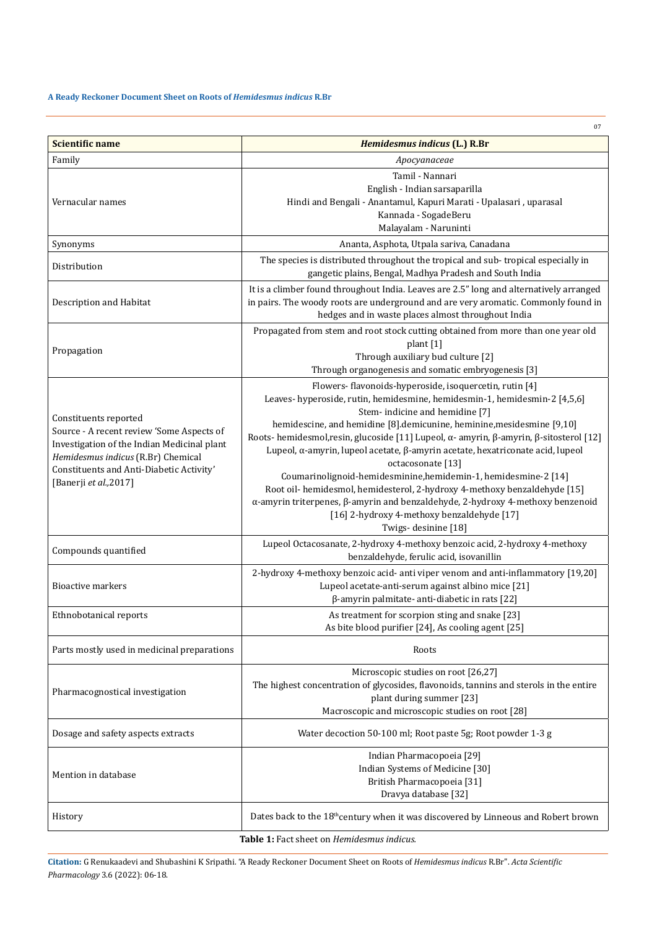## **A Ready Reckoner Document Sheet on Roots of** *Hemidesmus indicus* **R.Br**

| <b>Scientific name</b><br>Hemidesmus indicus (L.) R.Br<br>Family<br>Apocyanaceae<br>Tamil - Nannari<br>English - Indian sarsaparilla<br>Hindi and Bengali - Anantamul, Kapuri Marati - Upalasari, uparasal<br>Vernacular names<br>Kannada - SogadeBeru<br>Malayalam - Naruninti<br>Ananta, Asphota, Utpala sariva, Canadana<br>Synonyms<br>The species is distributed throughout the tropical and sub-tropical especially in<br>Distribution<br>gangetic plains, Bengal, Madhya Pradesh and South India<br>It is a climber found throughout India. Leaves are 2.5" long and alternatively arranged<br>in pairs. The woody roots are underground and are very aromatic. Commonly found in<br>Description and Habitat<br>hedges and in waste places almost throughout India<br>Propagated from stem and root stock cutting obtained from more than one year old                                                                                                                            |  |
|------------------------------------------------------------------------------------------------------------------------------------------------------------------------------------------------------------------------------------------------------------------------------------------------------------------------------------------------------------------------------------------------------------------------------------------------------------------------------------------------------------------------------------------------------------------------------------------------------------------------------------------------------------------------------------------------------------------------------------------------------------------------------------------------------------------------------------------------------------------------------------------------------------------------------------------------------------------------------------------|--|
|                                                                                                                                                                                                                                                                                                                                                                                                                                                                                                                                                                                                                                                                                                                                                                                                                                                                                                                                                                                          |  |
|                                                                                                                                                                                                                                                                                                                                                                                                                                                                                                                                                                                                                                                                                                                                                                                                                                                                                                                                                                                          |  |
|                                                                                                                                                                                                                                                                                                                                                                                                                                                                                                                                                                                                                                                                                                                                                                                                                                                                                                                                                                                          |  |
|                                                                                                                                                                                                                                                                                                                                                                                                                                                                                                                                                                                                                                                                                                                                                                                                                                                                                                                                                                                          |  |
|                                                                                                                                                                                                                                                                                                                                                                                                                                                                                                                                                                                                                                                                                                                                                                                                                                                                                                                                                                                          |  |
| plant [1]<br>Propagation<br>Through auxiliary bud culture [2]<br>Through organogenesis and somatic embryogenesis [3]                                                                                                                                                                                                                                                                                                                                                                                                                                                                                                                                                                                                                                                                                                                                                                                                                                                                     |  |
| Flowers- flavonoids-hyperoside, isoquercetin, rutin [4]<br>Leaves-hyperoside, rutin, hemidesmine, hemidesmin-1, hemidesmin-2 [4,5,6]<br>Stem- indicine and hemidine [7]<br>Constituents reported<br>hemidescine, and hemidine [8].demicunine, heminine, mesidesmine [9,10]<br>Source - A recent review 'Some Aspects of<br>Roots-hemidesmol, resin, glucoside [11] Lupeol, α-amyrin, β-amyrin, β-sitosterol [12]<br>Investigation of the Indian Medicinal plant<br>Lupeol, α-amyrin, lupeol acetate, β-amyrin acetate, hexatriconate acid, lupeol<br>Hemidesmus indicus (R.Br) Chemical<br>octacosonate [13]<br>Constituents and Anti-Diabetic Activity'<br>Coumarinolignoid-hemidesminine, hemidemin-1, hemidesmine-2 [14]<br>[Banerji et al., 2017]<br>Root oil-hemidesmol, hemidesterol, 2-hydroxy 4-methoxy benzaldehyde [15]<br>α-amyrin triterpenes, β-amyrin and benzaldehyde, 2-hydroxy 4-methoxy benzenoid<br>[16] 2-hydroxy 4-methoxy benzaldehyde [17]<br>Twigs-desinine [18] |  |
| Lupeol Octacosanate, 2-hydroxy 4-methoxy benzoic acid, 2-hydroxy 4-methoxy<br>Compounds quantified<br>benzaldehyde, ferulic acid, isovanillin                                                                                                                                                                                                                                                                                                                                                                                                                                                                                                                                                                                                                                                                                                                                                                                                                                            |  |
| 2-hydroxy 4-methoxy benzoic acid- anti viper venom and anti-inflammatory [19,20]<br>Lupeol acetate-anti-serum against albino mice [21]<br><b>Bioactive markers</b><br>$\beta$ -amyrin palmitate- anti-diabetic in rats [22]                                                                                                                                                                                                                                                                                                                                                                                                                                                                                                                                                                                                                                                                                                                                                              |  |
| Ethnobotanical reports<br>As treatment for scorpion sting and snake [23]<br>As bite blood purifier [24], As cooling agent [25]                                                                                                                                                                                                                                                                                                                                                                                                                                                                                                                                                                                                                                                                                                                                                                                                                                                           |  |
| Parts mostly used in medicinal preparations<br>Roots                                                                                                                                                                                                                                                                                                                                                                                                                                                                                                                                                                                                                                                                                                                                                                                                                                                                                                                                     |  |
| Microscopic studies on root [26,27]<br>The highest concentration of glycosides, flavonoids, tannins and sterols in the entire<br>Pharmacognostical investigation<br>plant during summer [23]<br>Macroscopic and microscopic studies on root [28]                                                                                                                                                                                                                                                                                                                                                                                                                                                                                                                                                                                                                                                                                                                                         |  |
| Water decoction 50-100 ml; Root paste 5g; Root powder 1-3 g<br>Dosage and safety aspects extracts                                                                                                                                                                                                                                                                                                                                                                                                                                                                                                                                                                                                                                                                                                                                                                                                                                                                                        |  |
| Indian Pharmacopoeia [29]<br>Indian Systems of Medicine [30]<br>Mention in database<br>British Pharmacopoeia [31]<br>Dravya database [32]                                                                                                                                                                                                                                                                                                                                                                                                                                                                                                                                                                                                                                                                                                                                                                                                                                                |  |
| Dates back to the 18 <sup>th</sup> century when it was discovered by Linneous and Robert brown<br>History                                                                                                                                                                                                                                                                                                                                                                                                                                                                                                                                                                                                                                                                                                                                                                                                                                                                                |  |

**Table 1:** Fact sheet on *Hemidesmus indicus.*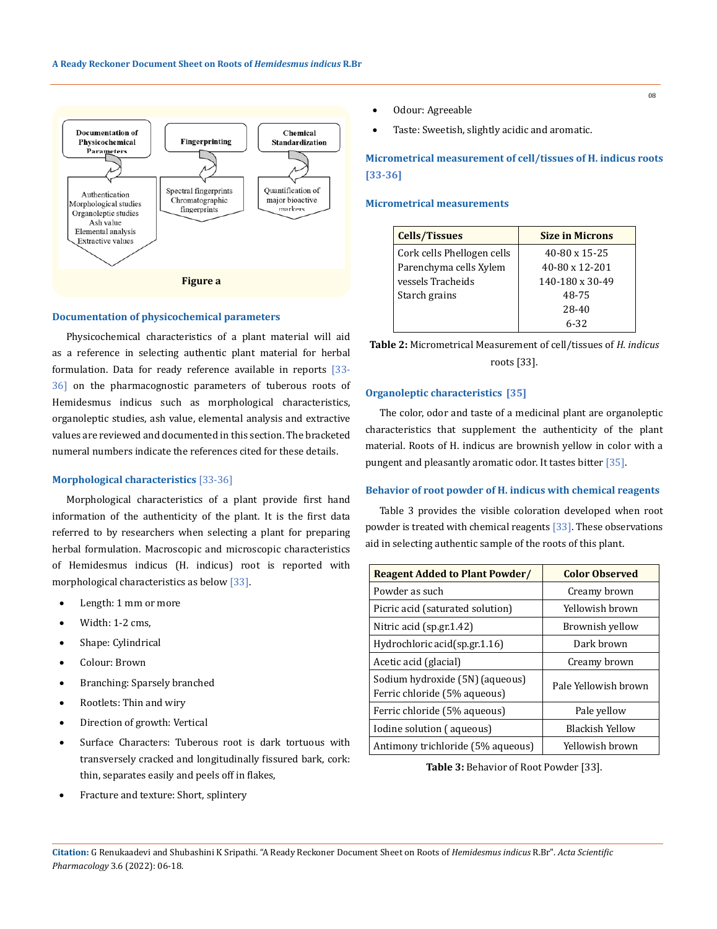

## **Documentation of physicochemical parameters**

Physicochemical characteristics of a plant material will aid as a reference in selecting authentic plant material for herbal formulation. Data for ready reference available in reports [33-36] on the pharmacognostic parameters of tuberous roots of Hemidesmus indicus such as morphological characteristics, organoleptic studies, ash value, elemental analysis and extractive values are reviewed and documented in this section. The bracketed numeral numbers indicate the references cited for these details.

#### **Morphological characteristics** [33-36]

Morphological characteristics of a plant provide first hand information of the authenticity of the plant. It is the first data referred to by researchers when selecting a plant for preparing herbal formulation. Macroscopic and microscopic characteristics of Hemidesmus indicus (H. indicus) root is reported with morphological characteristics as below [33].

- Length: 1 mm or more
- Width: 1-2 cms.
- Shape: Cylindrical
- Colour: Brown
- Branching: Sparsely branched
- Rootlets: Thin and wiry
- Direction of growth: Vertical
- Surface Characters: Tuberous root is dark tortuous with transversely cracked and longitudinally fissured bark, cork: thin, separates easily and peels off in flakes,
- Fracture and texture: Short, splintery
- • Odour: Agreeable
- • Taste: Sweetish, slightly acidic and aromatic.

**Micrometrical measurement of cell/tissues of H. indicus roots [33-36]**

#### **Micrometrical measurements**

| <b>Cells/Tissues</b>       | <b>Size in Microns</b> |
|----------------------------|------------------------|
| Cork cells Phellogen cells | $40-80 \times 15-25$   |
| Parenchyma cells Xylem     | $40-80 \times 12-201$  |
| vessels Tracheids          | 140-180 x 30-49        |
| Starch grains              | 48-75                  |
|                            | 28-40                  |
|                            | $6 - 32$               |

| <b>Table 2:</b> Micrometrical Measurement of cell/tissues of <i>H. indicus</i> |
|--------------------------------------------------------------------------------|
| roots [33].                                                                    |

#### **Organoleptic characteristics [35]**

The color, odor and taste of a medicinal plant are organoleptic characteristics that supplement the authenticity of the plant material. Roots of H. indicus are brownish yellow in color with a pungent and pleasantly aromatic odor. It tastes bitter [35].

#### **Behavior of root powder of H. indicus with chemical reagents**

Table 3 provides the visible coloration developed when root powder is treated with chemical reagents [33]. These observations aid in selecting authentic sample of the roots of this plant.

| <b>Reagent Added to Plant Powder/</b>                           | <b>Color Observed</b> |
|-----------------------------------------------------------------|-----------------------|
| Powder as such                                                  | Creamy brown          |
| Picric acid (saturated solution)                                | Yellowish brown       |
| Nitric acid (sp.gr.1.42)                                        | Brownish yellow       |
| Hydrochloric acid(sp.gr.1.16)                                   | Dark brown            |
| Acetic acid (glacial)                                           | Creamy brown          |
| Sodium hydroxide (5N) (aqueous)<br>Ferric chloride (5% aqueous) | Pale Yellowish brown  |
| Ferric chloride (5% aqueous)                                    | Pale yellow           |
| Iodine solution (aqueous)                                       | Blackish Yellow       |
| Antimony trichloride (5% aqueous)                               | Yellowish brown       |

**Table 3:** Behavior of Root Powder [33].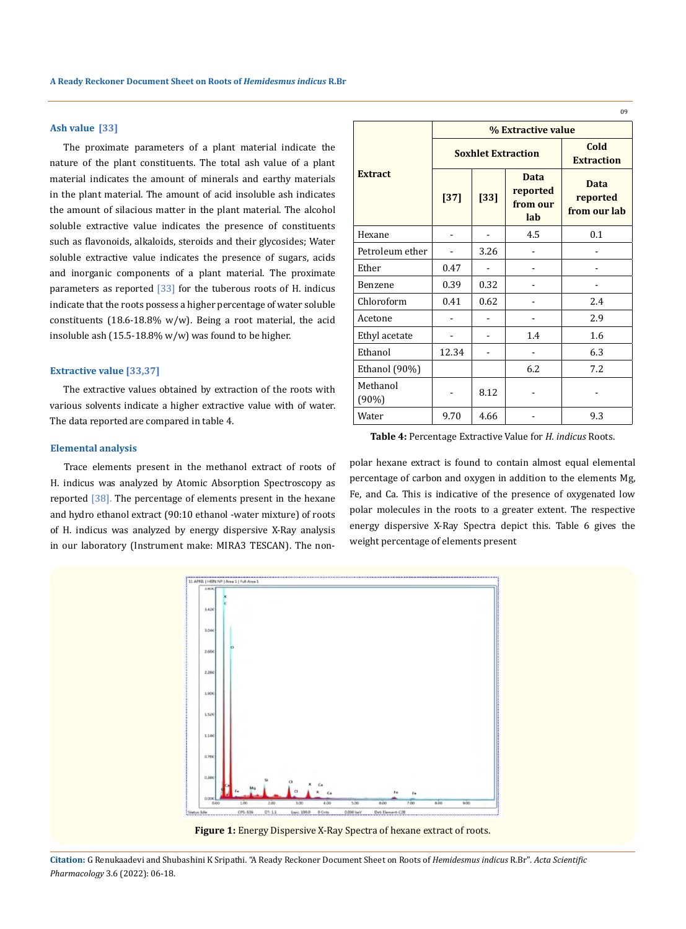#### **Ash value [33]**

The proximate parameters of a plant material indicate the nature of the plant constituents. The total ash value of a plant material indicates the amount of minerals and earthy materials in the plant material. The amount of acid insoluble ash indicates the amount of silacious matter in the plant material. The alcohol soluble extractive value indicates the presence of constituents such as flavonoids, alkaloids, steroids and their glycosides; Water soluble extractive value indicates the presence of sugars, acids and inorganic components of a plant material. The proximate parameters as reported  $\left[33\right]$  for the tuberous roots of H. indicus indicate that the roots possess a higher percentage of water soluble constituents (18.6-18.8% w/w). Being a root material, the acid insoluble ash (15.5-18.8% w/w) was found to be higher.

#### **Extractive value [33,37]**

The extractive values obtained by extraction of the roots with various solvents indicate a higher extractive value with of water. The data reported are compared in table 4.

#### **Elemental analysis**

Trace elements present in the methanol extract of roots of H. indicus was analyzed by Atomic Absorption Spectroscopy as reported [38]. The percentage of elements present in the hexane and hydro ethanol extract (90:10 ethanol -water mixture) of roots of H. indicus was analyzed by energy dispersive X-Ray analysis in our laboratory (Instrument make: MIRA3 TESCAN). The non-

|                      | % Extractive value        |        |                                     |                                         |
|----------------------|---------------------------|--------|-------------------------------------|-----------------------------------------|
|                      | <b>Soxhlet Extraction</b> |        |                                     | Cold<br><b>Extraction</b>               |
| <b>Extract</b>       | $[37]$                    | $[33]$ | Data<br>reported<br>from our<br>lab | <b>Data</b><br>reported<br>from our lab |
| Hexane               |                           |        | 4.5                                 | 0.1                                     |
| Petroleum ether      |                           | 3.26   |                                     |                                         |
| Ether                | 0.47                      |        |                                     |                                         |
| Benzene              | 0.39                      | 0.32   |                                     |                                         |
| Chloroform           | 0.41                      | 0.62   |                                     | 2.4                                     |
| Acetone              |                           |        |                                     | 2.9                                     |
| Ethyl acetate        |                           |        | 1.4                                 | 1.6                                     |
| Ethanol              | 12.34                     |        |                                     | 6.3                                     |
| Ethanol (90%)        |                           |        | 6.2                                 | 7.2                                     |
| Methanol<br>$(90\%)$ |                           | 8.12   |                                     |                                         |
| Water                | 9.70                      | 4.66   |                                     | 9.3                                     |

**Table 4:** Percentage Extractive Value for *H. indicus* Roots.

polar hexane extract is found to contain almost equal elemental percentage of carbon and oxygen in addition to the elements Mg, Fe, and Ca. This is indicative of the presence of oxygenated low polar molecules in the roots to a greater extent. The respective energy dispersive X-Ray Spectra depict this. Table 6 gives the weight percentage of elements present



**Figure 1:** Energy Dispersive X-Ray Spectra of hexane extract of roots.

**Citation:** G Renukaadevi and Shubashini K Sripathi*.* "A Ready Reckoner Document Sheet on Roots of *Hemidesmus indicus* R.Br". *Acta Scientific Pharmacology* 3.6 (2022): 06-18.

09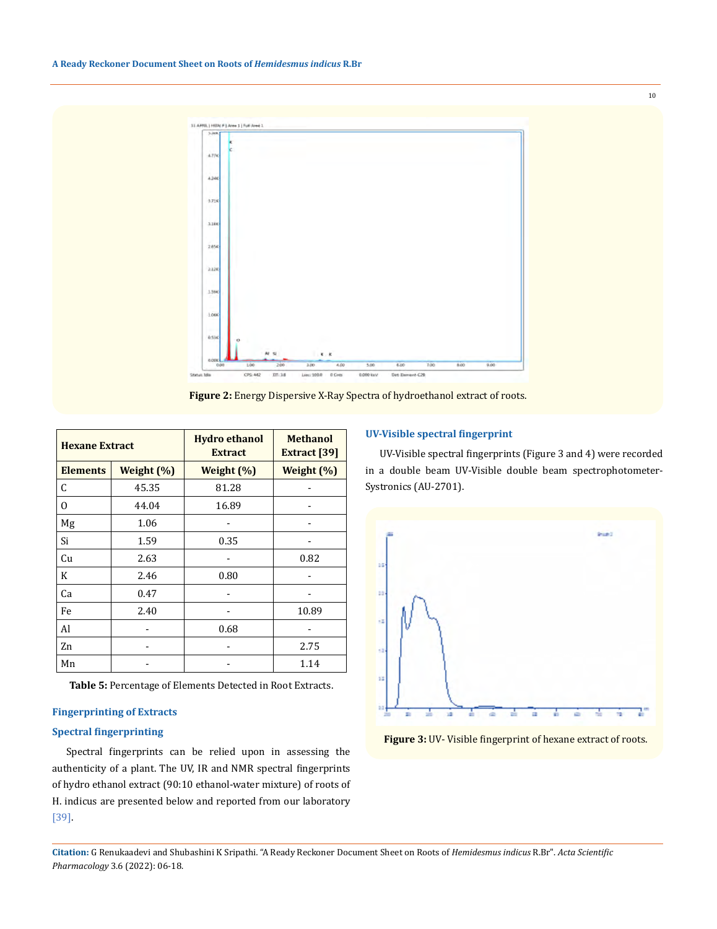

**Figure 2:** Energy Dispersive X-Ray Spectra of hydroethanol extract of roots.

| <b>Hexane Extract</b> |            | <b>Hydro ethanol</b><br><b>Extract</b> | <b>Methanol</b><br><b>Extract</b> [39] |
|-----------------------|------------|----------------------------------------|----------------------------------------|
| <b>Elements</b>       | Weight (%) | Weight $(\%)$                          | Weight $(\%)$                          |
| C                     | 45.35      | 81.28                                  |                                        |
| $\Omega$              | 44.04      | 16.89                                  |                                        |
| Mg                    | 1.06       |                                        |                                        |
| Si                    | 1.59       | 0.35                                   |                                        |
| Cu                    | 2.63       |                                        | 0.82                                   |
| K                     | 2.46       | 0.80                                   |                                        |
| Ca                    | 0.47       |                                        |                                        |
| Fe                    | 2.40       |                                        | 10.89                                  |
| Al                    |            | 0.68                                   |                                        |
| Zn                    |            |                                        | 2.75                                   |
| Mn                    |            |                                        | 1.14                                   |

**Table 5:** Percentage of Elements Detected in Root Extracts.

### **Fingerprinting of Extracts**

## **Spectral fingerprinting**

Spectral fingerprints can be relied upon in assessing the authenticity of a plant. The UV, IR and NMR spectral fingerprints of hydro ethanol extract (90:10 ethanol-water mixture) of roots of H. indicus are presented below and reported from our laboratory [39].

#### **UV-Visible spectral fingerprint**

UV-Visible spectral fingerprints (Figure 3 and 4) were recorded in a double beam UV-Visible double beam spectrophotometer-Systronics (AU-2701).



**Figure 3:** UV- Visible fingerprint of hexane extract of roots.

**Citation:** G Renukaadevi and Shubashini K Sripathi*.* "A Ready Reckoner Document Sheet on Roots of *Hemidesmus indicus* R.Br". *Acta Scientific Pharmacology* 3.6 (2022): 06-18.

10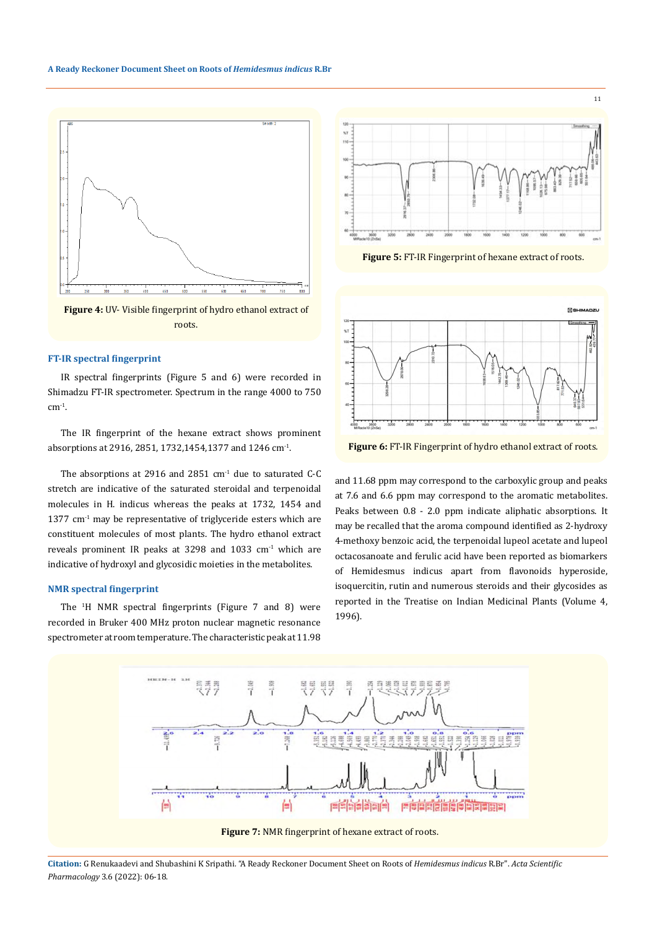

**Figure 4:** UV- Visible fingerprint of hydro ethanol extract of roots.

### **FT-IR spectral fingerprint**

IR spectral fingerprints (Figure 5 and 6) were recorded in Shimadzu FT-IR spectrometer. Spectrum in the range 4000 to 750  $cm<sup>-1</sup>$ .

The IR fingerprint of the hexane extract shows prominent absorptions at 2916, 2851, 1732,1454,1377 and 1246 cm-1.

The absorptions at 2916 and 2851 cm-1 due to saturated C-C stretch are indicative of the saturated steroidal and terpenoidal molecules in H. indicus whereas the peaks at 1732, 1454 and  $1377 \text{ cm}^{-1}$  may be representative of triglyceride esters which are constituent molecules of most plants. The hydro ethanol extract reveals prominent IR peaks at 3298 and 1033 cm<sup>-1</sup> which are indicative of hydroxyl and glycosidic moieties in the metabolites.

## **NMR spectral fingerprint**

The <sup>1</sup> H NMR spectral fingerprints (Figure 7 and 8) were recorded in Bruker 400 MHz proton nuclear magnetic resonance spectrometer at room temperature. The characteristic peak at 11.98



11

**Figure 5:** FT-IR Fingerprint of hexane extract of roots.



**Figure 6:** FT-IR Fingerprint of hydro ethanol extract of roots.

and 11.68 ppm may correspond to the carboxylic group and peaks at 7.6 and 6.6 ppm may correspond to the aromatic metabolites. Peaks between 0.8 - 2.0 ppm indicate aliphatic absorptions. It may be recalled that the aroma compound identified as 2-hydroxy 4-methoxy benzoic acid, the terpenoidal lupeol acetate and lupeol octacosanoate and ferulic acid have been reported as biomarkers of Hemidesmus indicus apart from flavonoids hyperoside, isoquercitin, rutin and numerous steroids and their glycosides as reported in the Treatise on Indian Medicinal Plants (Volume 4, 1996).



**Citation:** G Renukaadevi and Shubashini K Sripathi*.* "A Ready Reckoner Document Sheet on Roots of *Hemidesmus indicus* R.Br". *Acta Scientific Pharmacology* 3.6 (2022): 06-18.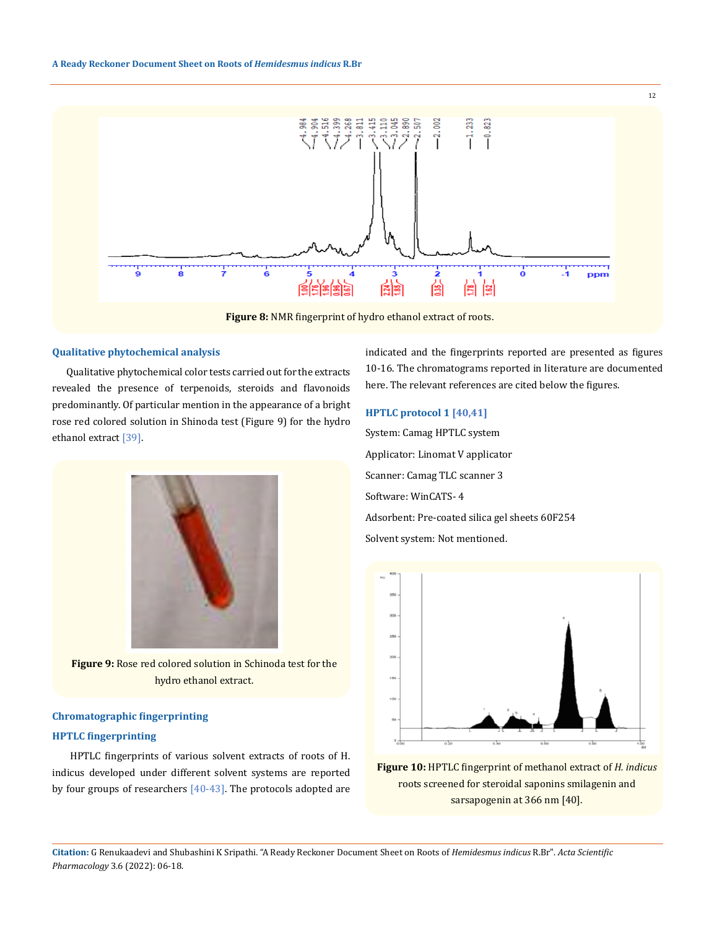

**Figure 8:** NMR fingerprint of hydro ethanol extract of roots.

#### **Qualitative phytochemical analysis**

Qualitative phytochemical color tests carried out for the extracts revealed the presence of terpenoids, steroids and flavonoids predominantly. Of particular mention in the appearance of a bright rose red colored solution in Shinoda test (Figure 9) for the hydro ethanol extract [39].



**Figure 9:** Rose red colored solution in Schinoda test for the hydro ethanol extract.

## **Chromatographic fingerprinting**

## **HPTLC fingerprinting**

 HPTLC fingerprints of various solvent extracts of roots of H. indicus developed under different solvent systems are reported by four groups of researchers  $[40-43]$ . The protocols adopted are indicated and the fingerprints reported are presented as figures 10-16. The chromatograms reported in literature are documented here. The relevant references are cited below the figures.

12

## **HPTLC protocol 1 [40,41]**

System: Camag HPTLC system Applicator: Linomat V applicator Scanner: Camag TLC scanner 3 Software: WinCATS- 4 Adsorbent: Pre-coated silica gel sheets 60F254 Solvent system: Not mentioned.



**Figure 10:** HPTLC fingerprint of methanol extract of *H. indicus* roots screened for steroidal saponins smilagenin and sarsapogenin at 366 nm [40].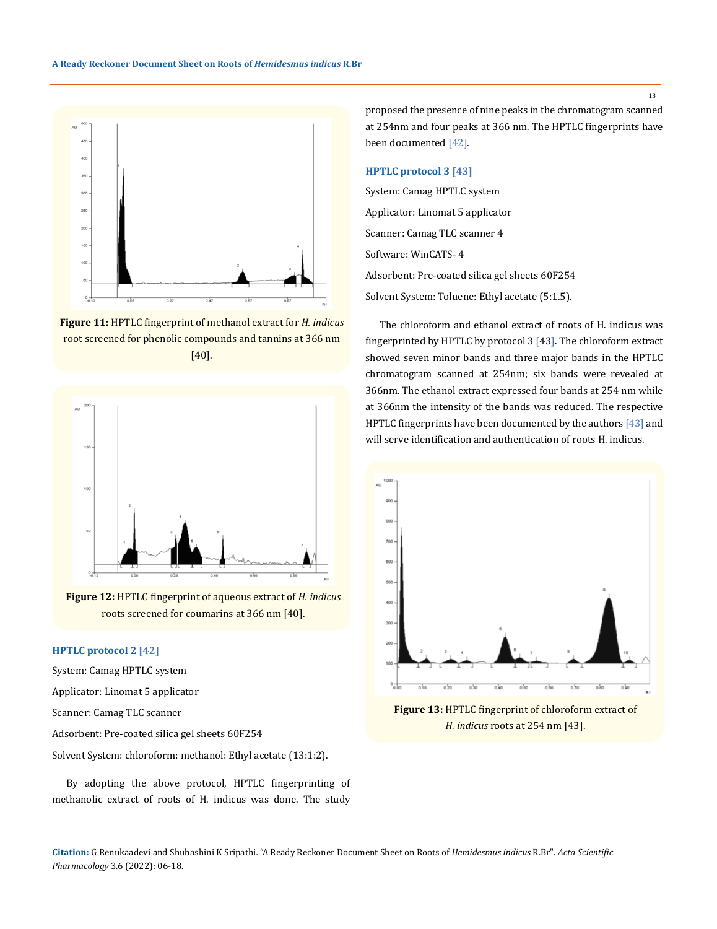

**Figure 11:** HPTLC fingerprint of methanol extract for *H. indicus* root screened for phenolic compounds and tannins at 366 nm [40].



**Figure 12:** HPTLC fingerprint of aqueous extract of *H. indicus*  roots screened for coumarins at 366 nm [40].

## **HPTLC protocol 2 [42]**

System: Camag HPTLC system

Applicator: Linomat 5 applicator

Scanner: Camag TLC scanner

Adsorbent: Pre-coated silica gel sheets 60F254

Solvent System: chloroform: methanol: Ethyl acetate (13:1:2).

By adopting the above protocol, HPTLC fingerprinting of methanolic extract of roots of H. indicus was done. The study

proposed the presence of nine peaks in the chromatogram scanned at 254nm and four peaks at 366 nm. The HPTLC fingerprints have been documented [42].

### **HPTLC protocol 3 [43]**

System: Camag HPTLC system Applicator: Linomat 5 applicator Scanner: Camag TLC scanner 4 Software: WinCATS- 4 Adsorbent: Pre-coated silica gel sheets 60F254 Solvent System: Toluene: Ethyl acetate (5:1.5).

The chloroform and ethanol extract of roots of H. indicus was fingerprinted by HPTLC by protocol 3 [43]. The chloroform extract showed seven minor bands and three major bands in the HPTLC chromatogram scanned at 254nm; six bands were revealed at 366nm. The ethanol extract expressed four bands at 254 nm while at 366nm the intensity of the bands was reduced. The respective HPTLC fingerprints have been documented by the authors [43] and will serve identification and authentication of roots H. indicus.



**Figure 13:** HPTLC fingerprint of chloroform extract of *H. indicus* roots at 254 nm [43].

13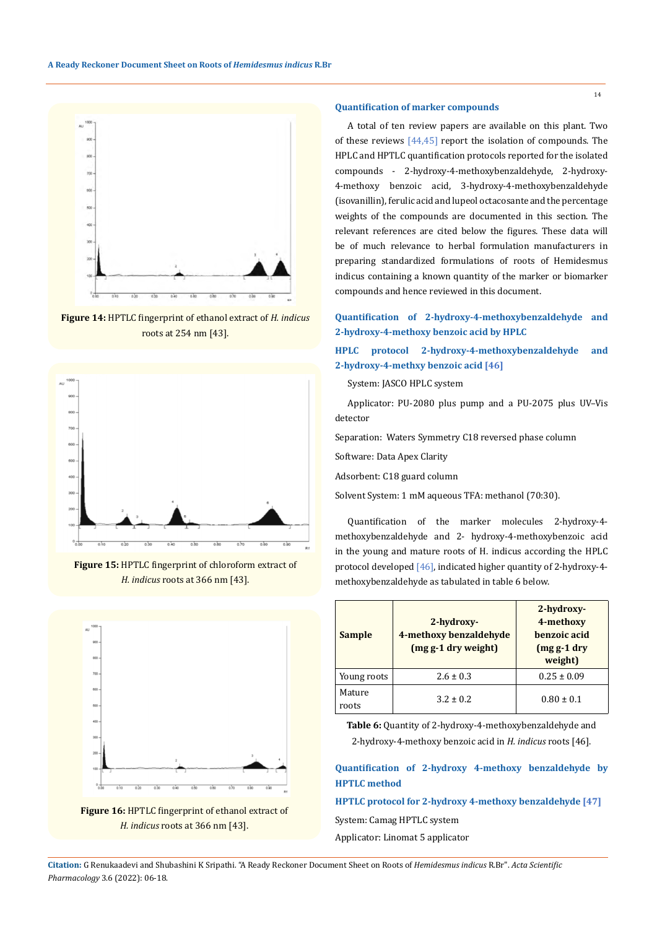

**Figure 14:** HPTLC fingerprint of ethanol extract of *H. indicus*  roots at 254 nm [43].



**Figure 15:** HPTLC fingerprint of chloroform extract of *H. indicus* roots at 366 nm [43].



**Figure 16:** HPTLC fingerprint of ethanol extract of *H. indicus* roots at 366 nm [43].

### **Quantification of marker compounds**

A total of ten review papers are available on this plant. Two of these reviews [44,45] report the isolation of compounds. The HPLC and HPTLC quantification protocols reported for the isolated compounds - 2-hydroxy-4-methoxybenzaldehyde, 2-hydroxy-4-methoxy benzoic acid, 3-hydroxy-4-methoxybenzaldehyde (isovanillin), ferulic acid and lupeol octacosante and the percentage weights of the compounds are documented in this section. The relevant references are cited below the figures. These data will be of much relevance to herbal formulation manufacturers in preparing standardized formulations of roots of Hemidesmus indicus containing a known quantity of the marker or biomarker compounds and hence reviewed in this document.

## **Quantification of 2-hydroxy-4-methoxybenzaldehyde and 2-hydroxy-4-methoxy benzoic acid by HPLC**

**HPLC protocol 2-hydroxy-4-methoxybenzaldehyde and 2-hydroxy-4-methxy benzoic acid [46]**

System: JASCO HPLC system

Applicator: PU-2080 plus pump and a PU-2075 plus UV–Vis detector

Separation: Waters Symmetry C18 reversed phase column

Software: Data Apex Clarity

Adsorbent: C18 guard column

Solvent System: 1 mM aqueous TFA: methanol (70:30).

Quantification of the marker molecules 2-hydroxy-4 methoxybenzaldehyde and 2- hydroxy-4-methoxybenzoic acid in the young and mature roots of H. indicus according the HPLC protocol developed [46], indicated higher quantity of 2-hydroxy-4 methoxybenzaldehyde as tabulated in table 6 below.

| <b>Sample</b>   | 2-hydroxy-<br>4-methoxy benzaldehyde<br>(mg g-1 dry weight) | 2-hydroxy-<br>4-methoxy<br>henzoic acid<br>$(mgg-1)$ dry<br>weight) |
|-----------------|-------------------------------------------------------------|---------------------------------------------------------------------|
| Young roots     | $2.6 \pm 0.3$                                               | $0.25 \pm 0.09$                                                     |
| Mature<br>roots | $3.2 + 0.2$                                                 | $0.80 \pm 0.1$                                                      |

**Table 6:** Quantity of 2-hydroxy-4-methoxybenzaldehyde and 2-hydroxy-4-methoxy benzoic acid in *H. indicus* roots [46].

## **Quantification of 2-hydroxy 4-methoxy benzaldehyde by HPTLC method**

## **HPTLC protocol for 2-hydroxy 4-methoxy benzaldehyde [47]**

System: Camag HPTLC system

Applicator: Linomat 5 applicator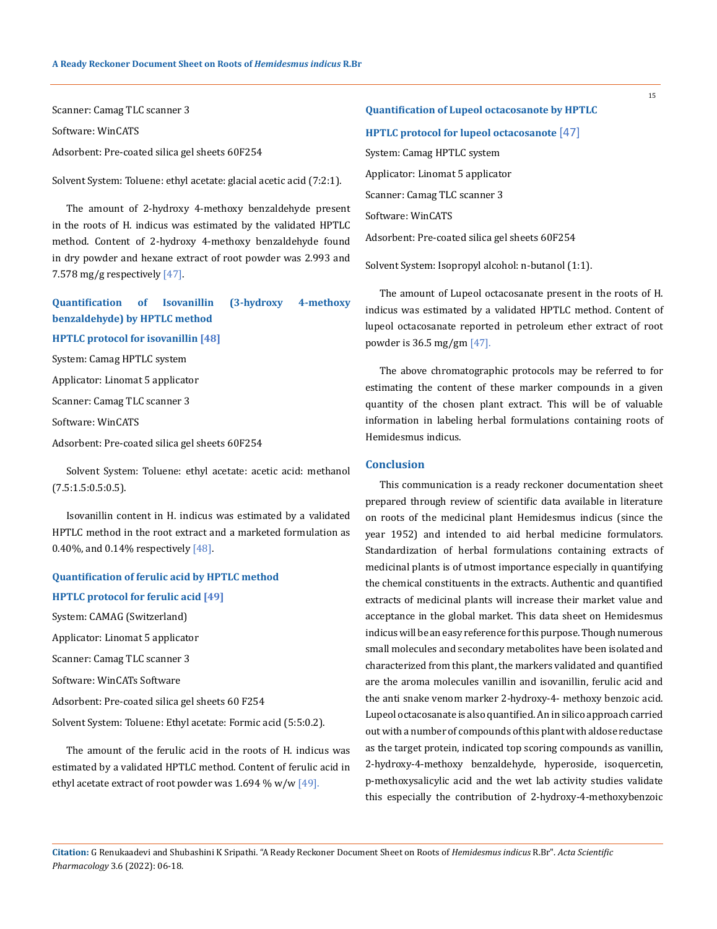Scanner: Camag TLC scanner 3

Software: WinCATS

Adsorbent: Pre-coated silica gel sheets 60F254

Solvent System: Toluene: ethyl acetate: glacial acetic acid (7:2:1).

The amount of 2-hydroxy 4-methoxy benzaldehyde present in the roots of H. indicus was estimated by the validated HPTLC method. Content of 2-hydroxy 4-methoxy benzaldehyde found in dry powder and hexane extract of root powder was 2.993 and 7.578 mg/g respectively [47].

## **Quantification of Isovanillin (3-hydroxy 4-methoxy benzaldehyde) by HPTLC method**

## **HPTLC protocol for isovanillin [48]**

System: Camag HPTLC system

Applicator: Linomat 5 applicator

Scanner: Camag TLC scanner 3

Software: WinCATS

Adsorbent: Pre-coated silica gel sheets 60F254

Solvent System: Toluene: ethyl acetate: acetic acid: methanol (7.5:1.5:0.5:0.5).

Isovanillin content in H. indicus was estimated by a validated HPTLC method in the root extract and a marketed formulation as 0.40%, and 0.14% respectively [48].

# **Quantification of ferulic acid by HPTLC method HPTLC protocol for ferulic acid [49]**

System: CAMAG (Switzerland)

Applicator: Linomat 5 applicator

Scanner: Camag TLC scanner 3

Software: WinCATs Software

Adsorbent: Pre-coated silica gel sheets 60 F254

Solvent System: Toluene: Ethyl acetate: Formic acid (5:5:0.2).

The amount of the ferulic acid in the roots of H. indicus was estimated by a validated HPTLC method. Content of ferulic acid in ethyl acetate extract of root powder was  $1.694\%$  w/w [49].

**Quantification of Lupeol octacosanote by HPTLC HPTLC protocol for lupeol octacosanote** [47] System: Camag HPTLC system Applicator: Linomat 5 applicator Scanner: Camag TLC scanner 3 Software: WinCATS Adsorbent: Pre-coated silica gel sheets 60F254

Solvent System: Isopropyl alcohol: n-butanol (1:1).

The amount of Lupeol octacosanate present in the roots of H. indicus was estimated by a validated HPTLC method. Content of lupeol octacosanate reported in petroleum ether extract of root powder is 36.5 mg/gm [47].

The above chromatographic protocols may be referred to for estimating the content of these marker compounds in a given quantity of the chosen plant extract. This will be of valuable information in labeling herbal formulations containing roots of Hemidesmus indicus.

## **Conclusion**

This communication is a ready reckoner documentation sheet prepared through review of scientific data available in literature on roots of the medicinal plant Hemidesmus indicus (since the year 1952) and intended to aid herbal medicine formulators. Standardization of herbal formulations containing extracts of medicinal plants is of utmost importance especially in quantifying the chemical constituents in the extracts. Authentic and quantified extracts of medicinal plants will increase their market value and acceptance in the global market. This data sheet on Hemidesmus indicus will be an easy reference for this purpose. Though numerous small molecules and secondary metabolites have been isolated and characterized from this plant, the markers validated and quantified are the aroma molecules vanillin and isovanillin, ferulic acid and the anti snake venom marker 2-hydroxy-4- methoxy benzoic acid. Lupeol octacosanate is also quantified. An in silico approach carried out with a number of compounds of this plant with aldose reductase as the target protein, indicated top scoring compounds as vanillin, 2-hydroxy-4-methoxy benzaldehyde, hyperoside, isoquercetin, p-methoxysalicylic acid and the wet lab activity studies validate this especially the contribution of 2-hydroxy-4-methoxybenzoic

**Citation:** G Renukaadevi and Shubashini K Sripathi*.* "A Ready Reckoner Document Sheet on Roots of *Hemidesmus indicus* R.Br". *Acta Scientific Pharmacology* 3.6 (2022): 06-18.

15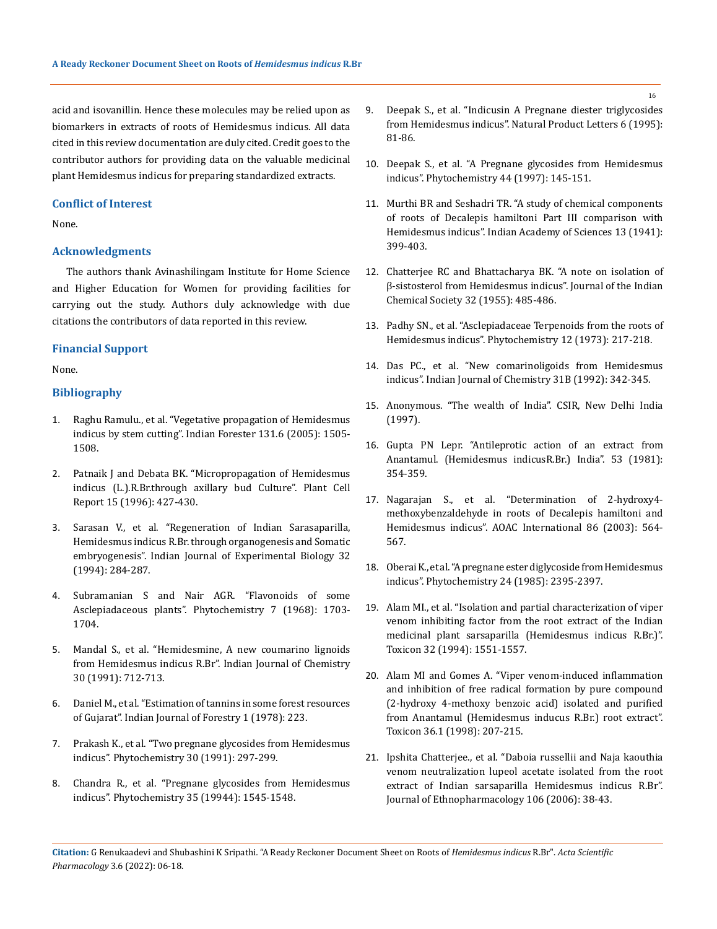acid and isovanillin. Hence these molecules may be relied upon as biomarkers in extracts of roots of Hemidesmus indicus. All data cited in this review documentation are duly cited. Credit goes to the contributor authors for providing data on the valuable medicinal plant Hemidesmus indicus for preparing standardized extracts.

#### **Conflict of Interest**

None.

## **Acknowledgments**

The authors thank Avinashilingam Institute for Home Science and Higher Education for Women for providing facilities for carrying out the study. Authors duly acknowledge with due citations the contributors of data reported in this review.

## **Financial Support**

None.

## **Bibliography**

- 1. [Raghu Ramulu., et al. "Vegetative propagation of Hemidesmus](https://www.researchgate.net/publication/263523079_Vegetative_propagation_of_Hemidesmus_indicus_RBr_by_stem_cuttings)  [indicus by stem cutting". Indian Forester 131.6 \(2005\): 1505-](https://www.researchgate.net/publication/263523079_Vegetative_propagation_of_Hemidesmus_indicus_RBr_by_stem_cuttings) [1508.](https://www.researchgate.net/publication/263523079_Vegetative_propagation_of_Hemidesmus_indicus_RBr_by_stem_cuttings)
- 2. [Patnaik J and Debata BK. "Micropropagation of Hemidesmus](https://link.springer.com/article/10.1007/BF00232069)  [indicus \(L.\).R.Br.through axillary bud Culture". Plant Cell](https://link.springer.com/article/10.1007/BF00232069)  Report [15 \(1996\): 427-430.](https://link.springer.com/article/10.1007/BF00232069)
- 3. Sarasan V., et al. "Regeneration of Indian Sarasaparilla, Hemidesmus indicus R.Br. through organogenesis and Somatic embryogenesis". Indian Journal of Experimental Biology 32 (1994): 284-287.
- 4. [Subramanian S and Nair AGR. "Flavonoids of some](https://www.sciencedirect.com/science/article/abs/pii/S0031942200886306)  [Asclepiadaceous plants". Phytochemistry 7 \(1968\): 1703-](https://www.sciencedirect.com/science/article/abs/pii/S0031942200886306) [1704.](https://www.sciencedirect.com/science/article/abs/pii/S0031942200886306)
- 5. Mandal S., et al. "Hemidesmine, A new coumarino lignoids from Hemidesmus indicus R.Br". Indian Journal of Chemistry 30 (1991): 712-713.
- 6. [Daniel M., et al. "Estimation of tannins in some forest resources](https://www.cabdirect.org/cabdirect/abstract/19800663142)  of Gujarat". [Indian Journal of Forestry 1 \(1978\): 223.](https://www.cabdirect.org/cabdirect/abstract/19800663142)
- 7. [Prakash K., et al. "Two pregnane glycosides from Hemidesmus](https://www.sciencedirect.com/science/article/abs/pii/003194229184141E)  [indicus". Phytochemistry 30 \(1991\): 297-299.](https://www.sciencedirect.com/science/article/abs/pii/003194229184141E)
- 8. Chandra R., et al. "Pregnane glycosides from Hemidesmus indicus". Phytochemistry 35 (19944): 1545-1548.
- 9. [Deepak S., et al. "Indicusin A Pregnane diester triglycosides](https://www.researchgate.net/publication/247529807_Indicusin-A_Pregnane_Diester_Triglycoside_from_Hemidesmus_indicus_R_Br)  [from Hemidesmus indicus". Natural Product Letters 6 \(1995\):](https://www.researchgate.net/publication/247529807_Indicusin-A_Pregnane_Diester_Triglycoside_from_Hemidesmus_indicus_R_Br)  [81-86.](https://www.researchgate.net/publication/247529807_Indicusin-A_Pregnane_Diester_Triglycoside_from_Hemidesmus_indicus_R_Br)
- 10. Deepak S., et al. "A Pregnane glycosides from Hemidesmus indicus". Phytochemistry 44 (1997): 145-151.
- 11. [Murthi BR and Seshadri TR. "A study of chemical components](http://repository.ias.ac.in/32667/)  [of roots of Decalepis hamiltoni Part III comparison with](http://repository.ias.ac.in/32667/)  [Hemidesmus indicus". Indian Academy of Sciences](http://repository.ias.ac.in/32667/) 13 (1941): [399-403.](http://repository.ias.ac.in/32667/)
- 12. Chatterjee RC and Bhattacharya BK. "A note on isolation of β-sistosterol from Hemidesmus indicus". Journal of the Indian Chemical Society 32 (1955): 485-486.
- 13. Padhy SN., et al. "Asclepiadaceae Terpenoids from the roots of Hemidesmus indicus". Phytochemistry 12 (1973): 217-218.
- 14. Das PC., et al. "New comarinoligoids from Hemidesmus indicus". Indian Journal of Chemistry 31B (1992): 342-345.
- 15. Anonymous. "The wealth of India". CSIR, New Delhi India (1997).
- 16. Gupta PN Lepr. "Antileprotic action of an extract from Anantamul. (Hemidesmus indicusR.Br.) India". 53 (1981): 354-359.
- 17. Nagarajan S., et al[. "Determination of 2-hydroxy4](https://pubmed.ncbi.nlm.nih.gov/12852577/) [methoxybenzaldehyde in roots of Decalepis hamiltoni and](https://pubmed.ncbi.nlm.nih.gov/12852577/)  [Hemidesmus indicus". AOAC International](https://pubmed.ncbi.nlm.nih.gov/12852577/) 86 (2003): 564- [567.](https://pubmed.ncbi.nlm.nih.gov/12852577/)
- 18. [Oberai K., et al. "A pregnane ester diglycoside from Hemidesmus](https://www.sciencedirect.com/science/article/abs/pii/S0031942200830496)  [indicus". Phytochemistry](https://www.sciencedirect.com/science/article/abs/pii/S0031942200830496) 24 (1985): 2395-2397.
- 19. [Alam MI., et al. "Isolation and partial characterization of viper](https://pubmed.ncbi.nlm.nih.gov/7725324/)  [venom inhibiting factor from the root extract of the Indian](https://pubmed.ncbi.nlm.nih.gov/7725324/)  [medicinal plant sarsaparilla \(Hemidesmus indicus R.Br.\)".](https://pubmed.ncbi.nlm.nih.gov/7725324/)  Toxicon [32 \(1994\): 1551-1557.](https://pubmed.ncbi.nlm.nih.gov/7725324/)
- 20. [Alam MI and Gomes A. "Viper venom-induced inflammation](https://pubmed.ncbi.nlm.nih.gov/9604294/)  [and inhibition of free radical formation by pure compound](https://pubmed.ncbi.nlm.nih.gov/9604294/)  [\(2-hydroxy 4-methoxy benzoic acid\) isolated and purified](https://pubmed.ncbi.nlm.nih.gov/9604294/)  [from Anantamul \(Hemidesmus inducus R.Br.\) root extract".](https://pubmed.ncbi.nlm.nih.gov/9604294/)  [Toxicon 36.1 \(1998\): 207-215.](https://pubmed.ncbi.nlm.nih.gov/9604294/)
- 21. Ipshita Chatterjee., et al[. "Daboia russellii and Naja kaouthia](https://pubmed.ncbi.nlm.nih.gov/16426782/)  [venom neutralization lupeol acetate isolated from the root](https://pubmed.ncbi.nlm.nih.gov/16426782/)  [extract of Indian sarsaparilla Hemidesmus indicus R.Br".](https://pubmed.ncbi.nlm.nih.gov/16426782/)  Journal of [Ethnopharmacology](https://pubmed.ncbi.nlm.nih.gov/16426782/) 106 (2006): 38-43.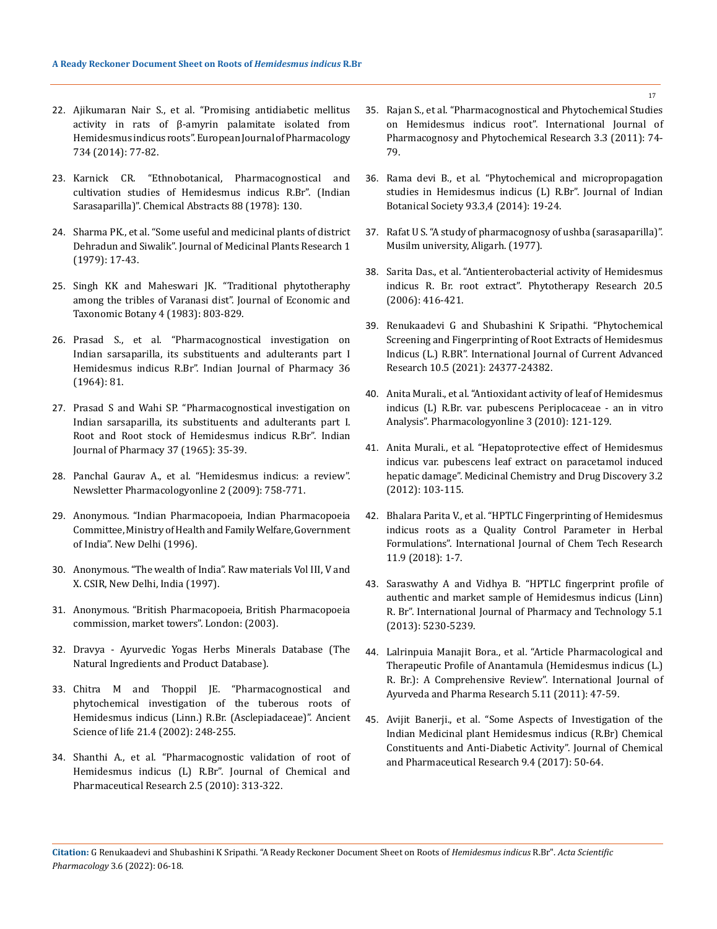- 22. [Ajikumaran Nair S., et al. "Promising antidiabetic mellitus](https://pubmed.ncbi.nlm.nih.gov/24726843/)  [activity in rats of β-amyrin palamitate isolated from](https://pubmed.ncbi.nlm.nih.gov/24726843/)  [Hemidesmus indicus roots". European Journal of Pharmacology](https://pubmed.ncbi.nlm.nih.gov/24726843/)  [734 \(2014\): 77-82.](https://pubmed.ncbi.nlm.nih.gov/24726843/)
- 23. Karnick CR. "Ethnobotanical, Pharmacognostical and cultivation studies of Hemidesmus indicus R.Br". (Indian Sarasaparilla)". Chemical Abstracts 88 (1978): 130.
- 24. [Sharma PK., et al. "Some useful and medicinal plants of district](https://indianmedicine.eldoc.ub.rug.nl/10657/)  [Dehradun and Siwalik". Journal of Medicinal Plants Research 1](https://indianmedicine.eldoc.ub.rug.nl/10657/)  [\(1979\): 17-43.](https://indianmedicine.eldoc.ub.rug.nl/10657/)
- 25. [Singh KK and Maheswari JK. "Traditional phytotheraphy](https://agris.fao.org/agris-search/search.do?recordID=US201302567558)  [among the tribles of Varanasi dist". Journal of Economic and](https://agris.fao.org/agris-search/search.do?recordID=US201302567558)  [Taxonomic Botany 4 \(1983\): 803-829.](https://agris.fao.org/agris-search/search.do?recordID=US201302567558)
- 26. Prasad S., et al. "Pharmacognostical investigation on Indian sarsaparilla, its substituents and adulterants part I Hemidesmus indicus R.Br". Indian Journal of Pharmacy 36 (1964): 81.
- 27. Prasad S and Wahi SP. "Pharmacognostical investigation on Indian sarsaparilla, its substituents and adulterants part I. Root and Root stock of Hemidesmus indicus R.Br". Indian Journal of Pharmacy 37 (1965): 35-39.
- 28. Panchal Gaurav A., et al. "Hemidesmus indicus: a review". Newsletter Pharmacologyonline 2 (2009): 758-771.
- 29. Anonymous. "Indian Pharmacopoeia, Indian Pharmacopoeia Committee, Ministry of Health and Family Welfare, Government of India". New Delhi (1996).
- 30. Anonymous. "The wealth of India". Raw materials Vol III, V and X. CSIR, New Delhi, India (1997).
- 31. Anonymous. "British Pharmacopoeia, British Pharmacopoeia commission, market towers". London: (2003).
- 32. Dravya Ayurvedic Yogas Herbs Minerals Database (The Natural Ingredients and Product Database).
- 33. [Chitra M and Thoppil JE. "Pharmacognostical and](https://www.researchgate.net/publication/224898300_Pharmacognostical_and_phytochemical_investifations_on_the_tuberous_roots_of_hemidesmus_indicus_linn_Rbr_Asclepiadaceae)  [phytochemical investigation of the tuberous roots of](https://www.researchgate.net/publication/224898300_Pharmacognostical_and_phytochemical_investifations_on_the_tuberous_roots_of_hemidesmus_indicus_linn_Rbr_Asclepiadaceae)  [Hemidesmus indicus \(Linn.\) R.Br. \(Asclepiadaceae\)". Ancient](https://www.researchgate.net/publication/224898300_Pharmacognostical_and_phytochemical_investifations_on_the_tuberous_roots_of_hemidesmus_indicus_linn_Rbr_Asclepiadaceae)  [Science of life 21.4 \(2002\): 248-255.](https://www.researchgate.net/publication/224898300_Pharmacognostical_and_phytochemical_investifations_on_the_tuberous_roots_of_hemidesmus_indicus_linn_Rbr_Asclepiadaceae)
- 34. Shanthi A., et al. "Pharmacognostic validation of root of Hemidesmus indicus (L) R.Br". Journal of Chemical and Pharmaceutical Research 2.5 (2010): 313-322.
- 35. Rajan S., et al[. "Pharmacognostical and Phytochemical Studies](https://www.researchgate.net/publication/290531049_Pharmacognostical_and_phytochemical_studies_on_Hemidesmus_indicus_root)  [on Hemidesmus indicus root". International Journal of](https://www.researchgate.net/publication/290531049_Pharmacognostical_and_phytochemical_studies_on_Hemidesmus_indicus_root)  [Pharmacognosy and Phytochemical Research 3.3 \(2011\): 74-](https://www.researchgate.net/publication/290531049_Pharmacognostical_and_phytochemical_studies_on_Hemidesmus_indicus_root) [79.](https://www.researchgate.net/publication/290531049_Pharmacognostical_and_phytochemical_studies_on_Hemidesmus_indicus_root)
- 36. [Rama devi B., et al. "Phytochemical and micropropagation](https://www.researchgate.net/publication/274379942_PHYTOCHEMICAL_AND_MICROPROPAGATION_STUDIES_IN_HEMIDESMUS_INDICUS_L_R_BR)  [studies in Hemidesmus indicus \(L\) R.Br". Journal of Indian](https://www.researchgate.net/publication/274379942_PHYTOCHEMICAL_AND_MICROPROPAGATION_STUDIES_IN_HEMIDESMUS_INDICUS_L_R_BR)  [Botanical Society 93.3,4 \(2014\): 19-24.](https://www.researchgate.net/publication/274379942_PHYTOCHEMICAL_AND_MICROPROPAGATION_STUDIES_IN_HEMIDESMUS_INDICUS_L_R_BR)
- 37. Rafat U S. "A study of pharmacognosy of ushba (sarasaparilla)". Musilm university, Aligarh. (1977).
- 38. [Sarita Das., et al. "Antienterobacterial activity of Hemidesmus](https://pubmed.ncbi.nlm.nih.gov/16619372/)  [indicus R. Br. root extract". Phytotherapy Research 20.5](https://pubmed.ncbi.nlm.nih.gov/16619372/)  [\(2006\): 416-421.](https://pubmed.ncbi.nlm.nih.gov/16619372/)
- 39. [Renukaadevi G and Shubashini K Sripathi. "Phytochemical](http://journalijcar.org/issues/phytochemical-screening-and-fingerprinting-root-extracts-hemidesmus-indicus-l-rbr)  [Screening and Fingerprinting of Root Extracts of Hemidesmus](http://journalijcar.org/issues/phytochemical-screening-and-fingerprinting-root-extracts-hemidesmus-indicus-l-rbr)  [Indicus \(L.\) R.BR". International Journal of Current Advanced](http://journalijcar.org/issues/phytochemical-screening-and-fingerprinting-root-extracts-hemidesmus-indicus-l-rbr)  [Research 10.5 \(2021\): 24377-24382.](http://journalijcar.org/issues/phytochemical-screening-and-fingerprinting-root-extracts-hemidesmus-indicus-l-rbr)
- 40. [Anita Murali., et al. "Antioxidant activity of leaf of Hemidesmus](https://www.researchgate.net/publication/286254244_Antioxidant_activity_of_leaf_of_Hemidesmus_indicus_L_R_Br_var_pubescens_W_A_Hkf_Periplocaceae-_an_in_vivo_analysis)  [indicus \(L\) R.Br. var. pubescens Periplocaceae - an in vitro](https://www.researchgate.net/publication/286254244_Antioxidant_activity_of_leaf_of_Hemidesmus_indicus_L_R_Br_var_pubescens_W_A_Hkf_Periplocaceae-_an_in_vivo_analysis)  [Analysis". Pharmacologyonline 3 \(2010\): 121-129.](https://www.researchgate.net/publication/286254244_Antioxidant_activity_of_leaf_of_Hemidesmus_indicus_L_R_Br_var_pubescens_W_A_Hkf_Periplocaceae-_an_in_vivo_analysis)
- 41. Anita Murali., et al. "Hepatoprotective effect of Hemidesmus indicus var. pubescens leaf extract on paracetamol induced hepatic damage". Medicinal Chemistry and Drug Discovery 3.2 (2012): 103-115.
- 42. [Bhalara Parita V., et al. "HPTLC Fingerprinting of Hemidesmus](https://sphinxsai.com/2018/ch_vol11_no9/1/(01-07)V11N09CT.pdf)  [indicus roots as a Quality Control Parameter in Herbal](https://sphinxsai.com/2018/ch_vol11_no9/1/(01-07)V11N09CT.pdf)  [Formulations". International Journal of Chem Tech Research](https://sphinxsai.com/2018/ch_vol11_no9/1/(01-07)V11N09CT.pdf)  [11.9 \(2018\): 1-7.](https://sphinxsai.com/2018/ch_vol11_no9/1/(01-07)V11N09CT.pdf)
- 43. [Saraswathy A and Vidhya B. "HPTLC fingerprint profile of](https://www.researchgate.net/publication/289707803_HPTLC_fingerprint_profile_of_authentic_and_market_sample_of_Hemidesmus_indicus_Linn_R_Br)  [authentic and market sample of Hemidesmus indicus \(Linn\)](https://www.researchgate.net/publication/289707803_HPTLC_fingerprint_profile_of_authentic_and_market_sample_of_Hemidesmus_indicus_Linn_R_Br)  [R. Br". International Journal of Pharmacy and Technology 5.1](https://www.researchgate.net/publication/289707803_HPTLC_fingerprint_profile_of_authentic_and_market_sample_of_Hemidesmus_indicus_Linn_R_Br)  [\(2013\): 5230-5239.](https://www.researchgate.net/publication/289707803_HPTLC_fingerprint_profile_of_authentic_and_market_sample_of_Hemidesmus_indicus_Linn_R_Br)
- 44. [Lalrinpuia Manajit Bora., et al. "Article Pharmacological and](https://ijapr.in/index.php/ijapr/article/view/810)  [Therapeutic Profile of Anantamula \(Hemidesmus indicus \(L.\)](https://ijapr.in/index.php/ijapr/article/view/810)  [R. Br.\): A Comprehensive Review". International Journal of](https://ijapr.in/index.php/ijapr/article/view/810)  [Ayurveda and Pharma Research 5.11 \(2011\): 47-59.](https://ijapr.in/index.php/ijapr/article/view/810)
- 45. Avijit Banerji., et al. "Some Aspects of Investigation of the Indian Medicinal plant Hemidesmus indicus (R.Br) Chemical Constituents and Anti-Diabetic Activity". Journal of Chemical and Pharmaceutical Research 9.4 (2017): 50-64.